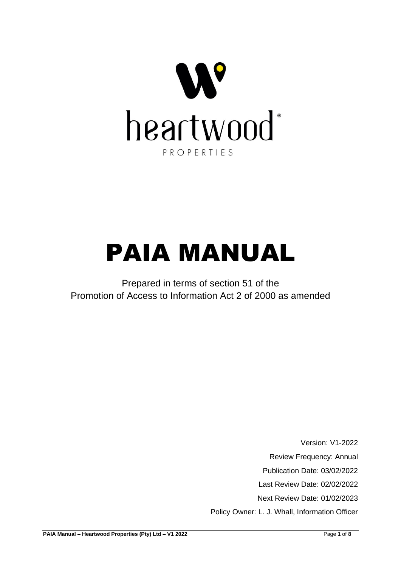

# PAIA MANUAL

Prepared in terms of section 51 of the Promotion of Access to Information Act 2 of 2000 as amended

> Version: V1-2022 Review Frequency: Annual Publication Date: 03/02/2022 Last Review Date: 02/02/2022 Next Review Date: 01/02/2023 Policy Owner: L. J. Whall, Information Officer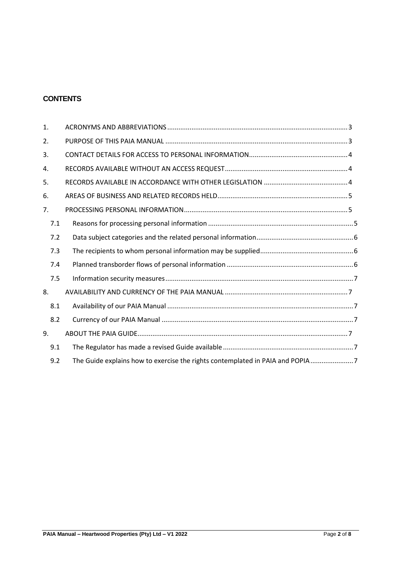#### **CONTENTS**

| 1.  |                                                                               |
|-----|-------------------------------------------------------------------------------|
| 2.  |                                                                               |
| 3.  |                                                                               |
| 4.  |                                                                               |
| 5.  |                                                                               |
| 6.  |                                                                               |
| 7.  |                                                                               |
| 7.1 |                                                                               |
| 7.2 |                                                                               |
| 7.3 |                                                                               |
| 7.4 |                                                                               |
| 7.5 |                                                                               |
| 8.  |                                                                               |
| 8.1 |                                                                               |
| 8.2 |                                                                               |
| 9.  |                                                                               |
| 9.1 |                                                                               |
| 9.2 | The Guide explains how to exercise the rights contemplated in PAIA and POPIA7 |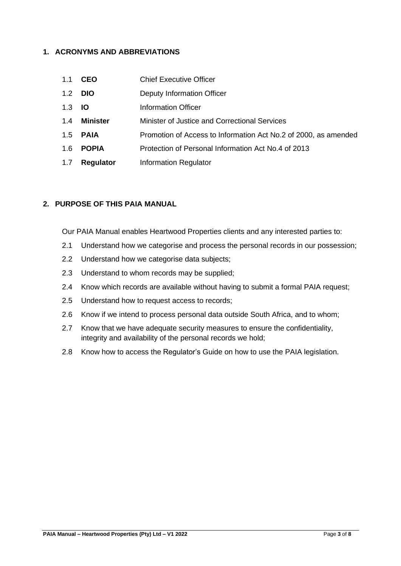## <span id="page-2-0"></span>**1. ACRONYMS AND ABBREVIATIONS**

- 1.1 **CEO** Chief Executive Officer
- 1.2 **DIO** Deputy Information Officer
- 1.3 **IO** Information Officer
- 1.4 **Minister** Minister of Justice and Correctional Services
- 1.5 **PAIA** Promotion of Access to Information Act No.2 of 2000, as amended
- 1.6 **POPIA** Protection of Personal Information Act No.4 of 2013
- 1.7 **Regulator** Information Regulator

#### <span id="page-2-1"></span>**2. PURPOSE OF THIS PAIA MANUAL**

Our PAIA Manual enables Heartwood Properties clients and any interested parties to:

- 2.1 Understand how we categorise and process the personal records in our possession;
- 2.2 Understand how we categorise data subjects;
- 2.3 Understand to whom records may be supplied;
- 2.4 Know which records are available without having to submit a formal PAIA request;
- 2.5 Understand how to request access to records;
- 2.6 Know if we intend to process personal data outside South Africa, and to whom;
- 2.7 Know that we have adequate security measures to ensure the confidentiality, integrity and availability of the personal records we hold;
- 2.8 Know how to access the Regulator's Guide on how to use the PAIA legislation.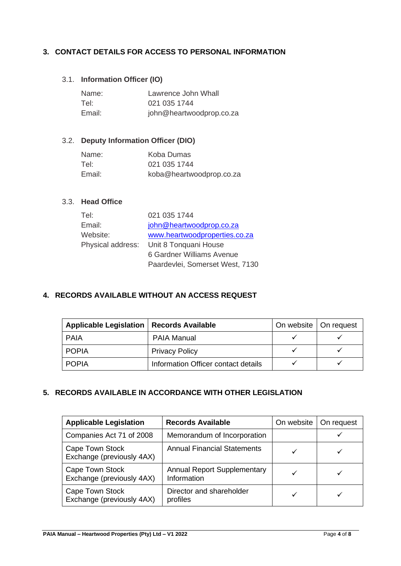## <span id="page-3-0"></span>**3. CONTACT DETAILS FOR ACCESS TO PERSONAL INFORMATION**

## 3.1. **Information Officer (IO)**

| Name:  | Lawrence John Whall      |
|--------|--------------------------|
| Tel:   | 021 035 1744             |
| Email: | john@heartwoodprop.co.za |

#### 3.2. **Deputy Information Officer (DIO)**

| Name:  | Koba Dumas               |
|--------|--------------------------|
| Tel:   | 021 035 1744             |
| Email: | koba@heartwoodprop.co.za |

#### 3.3. **Head Office**

| Tel:     | 021 035 1744                            |
|----------|-----------------------------------------|
| Email:   | john@heartwoodprop.co.za                |
| Website: | www.heartwoodproperties.co.za           |
|          | Physical address: Unit 8 Tonquani House |
|          | 6 Gardner Williams Avenue               |
|          | Paardevlei, Somerset West, 7130         |

#### <span id="page-3-1"></span>**4. RECORDS AVAILABLE WITHOUT AN ACCESS REQUEST**

| Applicable Legislation   Records Available |                                     | On website   On request |  |
|--------------------------------------------|-------------------------------------|-------------------------|--|
| <b>PAIA</b>                                | <b>PAIA Manual</b>                  |                         |  |
| <b>POPIA</b>                               | <b>Privacy Policy</b>               |                         |  |
| <b>POPIA</b>                               | Information Officer contact details |                         |  |

#### <span id="page-3-2"></span>**5. RECORDS AVAILABLE IN ACCORDANCE WITH OTHER LEGISLATION**

| <b>Applicable Legislation</b>                | <b>Records Available</b>                          | On website | On request |
|----------------------------------------------|---------------------------------------------------|------------|------------|
| Companies Act 71 of 2008                     | Memorandum of Incorporation                       |            |            |
| Cape Town Stock<br>Exchange (previously 4AX) | <b>Annual Financial Statements</b>                |            |            |
| Cape Town Stock<br>Exchange (previously 4AX) | <b>Annual Report Supplementary</b><br>Information |            |            |
| Cape Town Stock<br>Exchange (previously 4AX) | Director and shareholder<br>profiles              |            |            |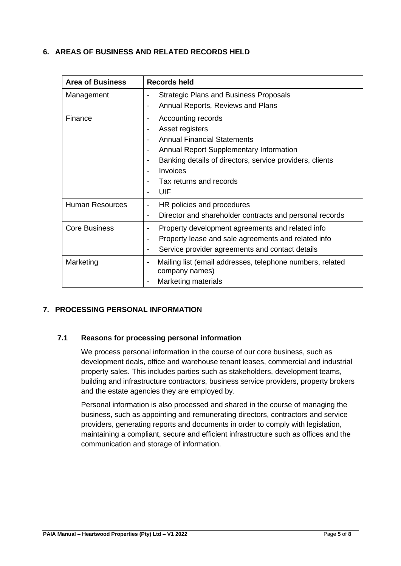## <span id="page-4-0"></span>**6. AREAS OF BUSINESS AND RELATED RECORDS HELD**

| <b>Area of Business</b> | Records held                                                                                                                     |  |
|-------------------------|----------------------------------------------------------------------------------------------------------------------------------|--|
| Management              | <b>Strategic Plans and Business Proposals</b><br>$\overline{\phantom{a}}$<br>Annual Reports, Reviews and Plans<br>$\blacksquare$ |  |
|                         |                                                                                                                                  |  |
| Finance                 | Accounting records<br>$\overline{\phantom{a}}$                                                                                   |  |
|                         | Asset registers<br>$\overline{\phantom{a}}$                                                                                      |  |
|                         | <b>Annual Financial Statements</b><br>$\blacksquare$                                                                             |  |
|                         | Annual Report Supplementary Information<br>$\overline{\phantom{a}}$                                                              |  |
|                         | Banking details of directors, service providers, clients<br>$\overline{\phantom{a}}$                                             |  |
|                         | Invoices                                                                                                                         |  |
|                         | Tax returns and records                                                                                                          |  |
|                         | UIF<br>$\blacksquare$                                                                                                            |  |
| <b>Human Resources</b>  | HR policies and procedures<br>$\blacksquare$                                                                                     |  |
|                         | Director and shareholder contracts and personal records<br>$\overline{\phantom{a}}$                                              |  |
| <b>Core Business</b>    | Property development agreements and related info<br>$\overline{\phantom{a}}$                                                     |  |
|                         | Property lease and sale agreements and related info<br>$\blacksquare$                                                            |  |
|                         | Service provider agreements and contact details<br>$\overline{\phantom{a}}$                                                      |  |
| Marketing               | Mailing list (email addresses, telephone numbers, related<br>$\overline{\phantom{a}}$                                            |  |
|                         | company names)                                                                                                                   |  |
|                         | <b>Marketing materials</b>                                                                                                       |  |

## <span id="page-4-1"></span>**7. PROCESSING PERSONAL INFORMATION**

## <span id="page-4-2"></span>**7.1 Reasons for processing personal information**

We process personal information in the course of our core business, such as development deals, office and warehouse tenant leases, commercial and industrial property sales. This includes parties such as stakeholders, development teams, building and infrastructure contractors, business service providers, property brokers and the estate agencies they are employed by.

Personal information is also processed and shared in the course of managing the business, such as appointing and remunerating directors, contractors and service providers, generating reports and documents in order to comply with legislation, maintaining a compliant, secure and efficient infrastructure such as offices and the communication and storage of information.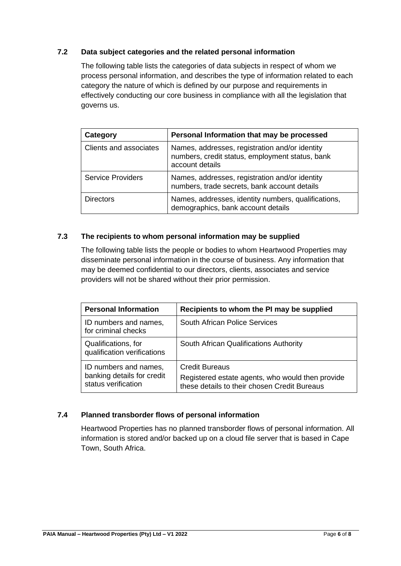## <span id="page-5-0"></span>**7.2 Data subject categories and the related personal information**

The following table lists the categories of data subjects in respect of whom we process personal information, and describes the type of information related to each category the nature of which is defined by our purpose and requirements in effectively conducting our core business in compliance with all the legislation that governs us.

| Category                 | Personal Information that may be processed                                                                           |
|--------------------------|----------------------------------------------------------------------------------------------------------------------|
| Clients and associates   | Names, addresses, registration and/or identity<br>numbers, credit status, employment status, bank<br>account details |
| <b>Service Providers</b> | Names, addresses, registration and/or identity<br>numbers, trade secrets, bank account details                       |
| <b>Directors</b>         | Names, addresses, identity numbers, qualifications,<br>demographics, bank account details                            |

#### <span id="page-5-1"></span>**7.3 The recipients to whom personal information may be supplied**

The following table lists the people or bodies to whom Heartwood Properties may disseminate personal information in the course of business. Any information that may be deemed confidential to our directors, clients, associates and service providers will not be shared without their prior permission.

| <b>Personal Information</b>                                                | Recipients to whom the PI may be supplied                                                                                 |
|----------------------------------------------------------------------------|---------------------------------------------------------------------------------------------------------------------------|
| ID numbers and names,<br>for criminal checks                               | <b>South African Police Services</b>                                                                                      |
| Qualifications, for<br>qualification verifications                         | South African Qualifications Authority                                                                                    |
| ID numbers and names,<br>banking details for credit<br>status verification | <b>Credit Bureaus</b><br>Registered estate agents, who would then provide<br>these details to their chosen Credit Bureaus |

#### <span id="page-5-2"></span>**7.4 Planned transborder flows of personal information**

Heartwood Properties has no planned transborder flows of personal information. All information is stored and/or backed up on a cloud file server that is based in Cape Town, South Africa.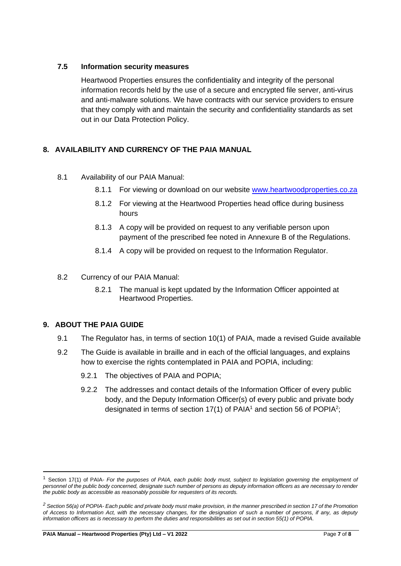## <span id="page-6-0"></span>**7.5 Information security measures**

Heartwood Properties ensures the confidentiality and integrity of the personal information records held by the use of a secure and encrypted file server, anti-virus and anti-malware solutions. We have contracts with our service providers to ensure that they comply with and maintain the security and confidentiality standards as set out in our Data Protection Policy.

## <span id="page-6-1"></span>**8. AVAILABILITY AND CURRENCY OF THE PAIA MANUAL**

- <span id="page-6-2"></span>8.1 Availability of our PAIA Manual:
	- 8.1.1 For viewing or download on our website [www.heartwoodproperties.co.za](http://www.heartwoodproperties.co.za/)
	- 8.1.2 For viewing at the Heartwood Properties head office during business hours
	- 8.1.3 A copy will be provided on request to any verifiable person upon payment of the prescribed fee noted in Annexure B of the Regulations.
	- 8.1.4 A copy will be provided on request to the Information Regulator.
- <span id="page-6-3"></span>8.2 Currency of our PAIA Manual:
	- 8.2.1 The manual is kept updated by the Information Officer appointed at Heartwood Properties.

## <span id="page-6-5"></span><span id="page-6-4"></span>**9. ABOUT THE PAIA GUIDE**

- 9.1 The Regulator has, in terms of section 10(1) of PAIA, made a revised Guide available
- <span id="page-6-6"></span>9.2 The Guide is available in braille and in each of the official languages, and explains how to exercise the rights contemplated in PAIA and POPIA, including:
	- 9.2.1 The objectives of PAIA and POPIA;
	- 9.2.2 The addresses and contact details of the Information Officer of every public body, and the Deputy Information Officer(s) of every public and private body designated in terms of section 17(1) of PAIA<sup>1</sup> and section 56 of POPIA<sup>2</sup>;

<sup>1</sup> Section 17(1) of PAIA- *For the purposes of PAIA, each public body must, subject to legislation governing the employment of personnel of the public body concerned, designate such number of persons as deputy information officers as are necessary to render the public body as accessible as reasonably possible for requesters of its records.*

*<sup>2</sup> Section 56(a) of POPIA- Each public and private body must make provision, in the manner prescribed in section 17 of the Promotion of Access to Information Act, with the necessary changes, for the designation of such a number of persons, if any, as deputy information officers as is necessary to perform the duties and responsibilities as set out in section 55(1) of POPIA.*